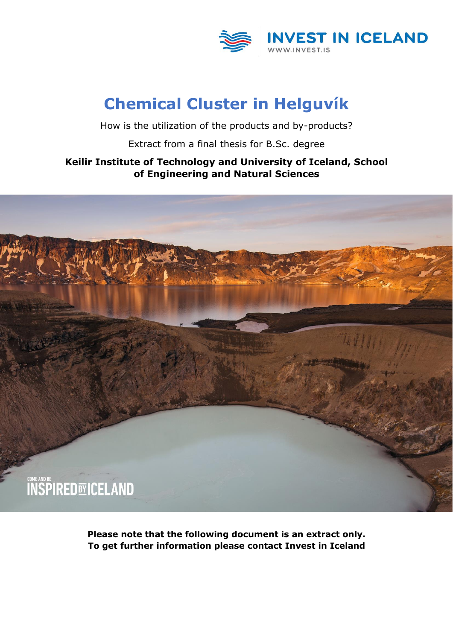

## **Chemical Cluster in Helguvík**

How is the utilization of the products and by-products?

Extract from a final thesis for B.Sc. degree

#### **Keilir Institute of Technology and University of Iceland, School of Engineering and Natural Sciences**



**Please note that the following document is an extract only. To get further information please contact Invest in Iceland**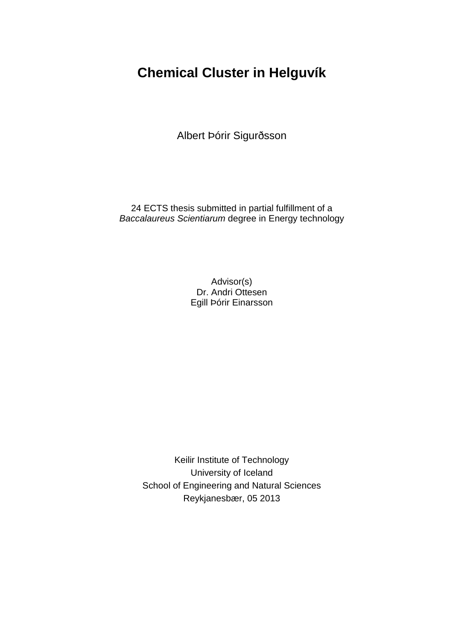### **Chemical Cluster in Helguvík**

Albert Þórir Sigurðsson

24 ECTS thesis submitted in partial fulfillment of a *Baccalaureus Scientiarum* degree in Energy technology

> Advisor(s) Dr. Andri Ottesen Egill Þórir Einarsson

Keilir Institute of Technology University of Iceland School of Engineering and Natural Sciences Reykjanesbær, 05 2013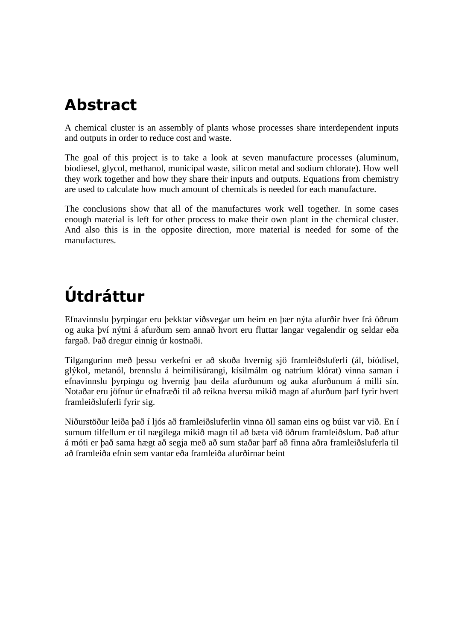# **Abstract**

A chemical cluster is an assembly of plants whose processes share interdependent inputs and outputs in order to reduce cost and waste.

The goal of this project is to take a look at seven manufacture processes (aluminum, biodiesel, glycol, methanol, municipal waste, silicon metal and sodium chlorate). How well they work together and how they share their inputs and outputs. Equations from chemistry are used to calculate how much amount of chemicals is needed for each manufacture.

The conclusions show that all of the manufactures work well together. In some cases enough material is left for other process to make their own plant in the chemical cluster. And also this is in the opposite direction, more material is needed for some of the manufactures.

# **Útdráttur**

Efnavinnslu þyrpingar eru þekktar víðsvegar um heim en þær nýta afurðir hver frá öðrum og auka því nýtni á afurðum sem annað hvort eru fluttar langar vegalendir og seldar eða fargað. Það dregur einnig úr kostnaði.

Tilgangurinn með þessu verkefni er að skoða hvernig sjö framleiðsluferli (ál, bíódísel, glýkol, metanól, brennslu á heimilisúrangi, kísilmálm og natríum klórat) vinna saman í efnavinnslu þyrpingu og hvernig þau deila afurðunum og auka afurðunum á milli sín. Notaðar eru jöfnur úr efnafræði til að reikna hversu mikið magn af afurðum þarf fyrir hvert framleiðsluferli fyrir sig.

Niðurstöður leiða það í ljós að framleiðsluferlin vinna öll saman eins og búist var við. En í sumum tilfellum er til nægilega mikið magn til að bæta við öðrum framleiðslum. Það aftur á móti er það sama hægt að segja með að sum staðar þarf að finna aðra framleiðsluferla til að framleiða efnin sem vantar eða framleiða afurðirnar beint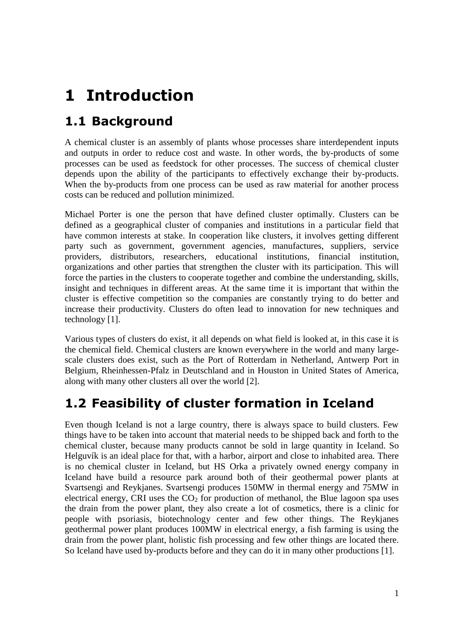# **1 Introduction**

## **1.1 Background**

A chemical cluster is an assembly of plants whose processes share interdependent inputs and outputs in order to reduce cost and waste. In other words, the by-products of some processes can be used as feedstock for other processes. The success of chemical cluster depends upon the ability of the participants to effectively exchange their by-products. When the by-products from one process can be used as raw material for another process costs can be reduced and pollution minimized.

Michael Porter is one the person that have defined cluster optimally. Clusters can be defined as a geographical cluster of companies and institutions in a particular field that have common interests at stake. In cooperation like clusters, it involves getting different party such as government, government agencies, manufactures, suppliers, service providers, distributors, researchers, educational institutions, financial institution, organizations and other parties that strengthen the cluster with its participation. This will force the parties in the clusters to cooperate together and combine the understanding, skills, insight and techniques in different areas. At the same time it is important that within the cluster is effective competition so the companies are constantly trying to do better and increase their productivity. Clusters do often lead to innovation for new techniques and technology [1].

Various types of clusters do exist, it all depends on what field is looked at, in this case it is the chemical field. Chemical clusters are known everywhere in the world and many largescale clusters does exist, such as the Port of Rotterdam in Netherland, Antwerp Port in Belgium, Rheinhessen-Pfalz in Deutschland and in Houston in United States of America, along with many other clusters all over the world [2].

### **1.2 Feasibility of cluster formation in Iceland**

Even though Iceland is not a large country, there is always space to build clusters. Few things have to be taken into account that material needs to be shipped back and forth to the chemical cluster, because many products cannot be sold in large quantity in Iceland. So Helguvík is an ideal place for that, with a harbor, airport and close to inhabited area. There is no chemical cluster in Iceland, but HS Orka a privately owned energy company in Iceland have build a resource park around both of their geothermal power plants at Svartsengi and Reykjanes. Svartsengi produces 150MW in thermal energy and 75MW in electrical energy, CRI uses the  $CO<sub>2</sub>$  for production of methanol, the Blue lagoon spa uses the drain from the power plant, they also create a lot of cosmetics, there is a clinic for people with psoriasis, biotechnology center and few other things. The Reykjanes geothermal power plant produces 100MW in electrical energy, a fish farming is using the drain from the power plant, holistic fish processing and few other things are located there. So Iceland have used by-products before and they can do it in many other productions [1].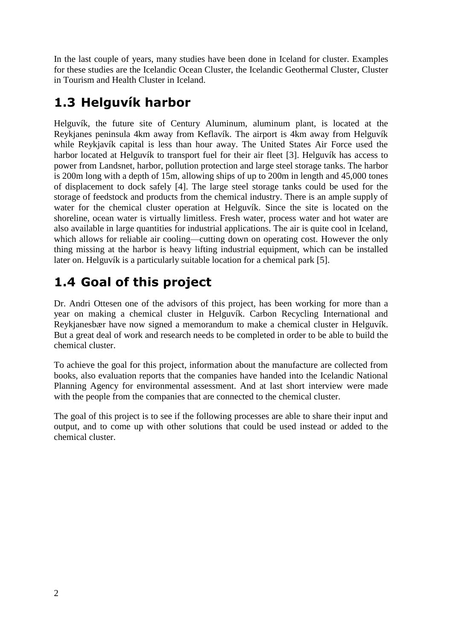In the last couple of years, many studies have been done in Iceland for cluster. Examples for these studies are the Icelandic Ocean Cluster, the Icelandic Geothermal Cluster, Cluster in Tourism and Health Cluster in Iceland.

## **1.3 Helguvík harbor**

Helguvík, the future site of Century Aluminum, aluminum plant, is located at the Reykjanes peninsula 4km away from Keflavík. The airport is 4km away from Helguvík while Reykjavík capital is less than hour away. The United States Air Force used the harbor located at Helguvík to transport fuel for their air fleet [3]. Helguvík has access to power from Landsnet, harbor, pollution protection and large steel storage tanks. The harbor is 200m long with a depth of 15m, allowing ships of up to 200m in length and 45,000 tones of displacement to dock safely [4]. The large steel storage tanks could be used for the storage of feedstock and products from the chemical industry. There is an ample supply of water for the chemical cluster operation at Helguvík. Since the site is located on the shoreline, ocean water is virtually limitless. Fresh water, process water and hot water are also available in large quantities for industrial applications. The air is quite cool in Iceland, which allows for reliable air cooling—cutting down on operating cost. However the only thing missing at the harbor is heavy lifting industrial equipment, which can be installed later on. Helguvík is a particularly suitable location for a chemical park [5].

## **1.4 Goal of this project**

Dr. Andri Ottesen one of the advisors of this project, has been working for more than a year on making a chemical cluster in Helguvík. Carbon Recycling International and Reykjanesbær have now signed a memorandum to make a chemical cluster in Helguvík. But a great deal of work and research needs to be completed in order to be able to build the chemical cluster.

To achieve the goal for this project, information about the manufacture are collected from books, also evaluation reports that the companies have handed into the Icelandic National Planning Agency for environmental assessment. And at last short interview were made with the people from the companies that are connected to the chemical cluster.

The goal of this project is to see if the following processes are able to share their input and output, and to come up with other solutions that could be used instead or added to the chemical cluster.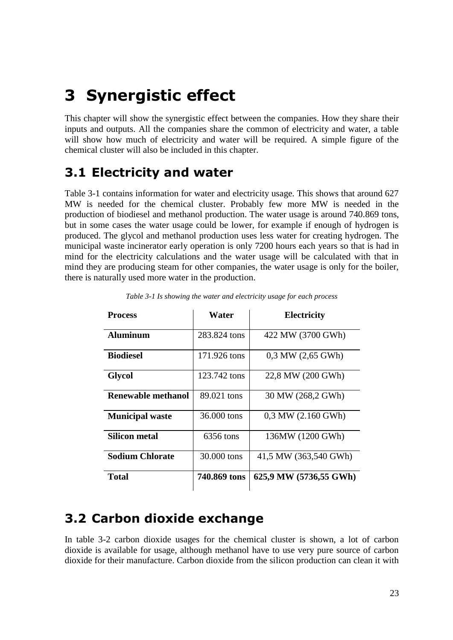## **3 Synergistic effect**

This chapter will show the synergistic effect between the companies. How they share their inputs and outputs. All the companies share the common of electricity and water, a table will show how much of electricity and water will be required. A simple figure of the chemical cluster will also be included in this chapter.

#### **3.1 Electricity and water**

Table 3-1 contains information for water and electricity usage. This shows that around 627 MW is needed for the chemical cluster. Probably few more MW is needed in the production of biodiesel and methanol production. The water usage is around 740.869 tons, but in some cases the water usage could be lower, for example if enough of hydrogen is produced. The glycol and methanol production uses less water for creating hydrogen. The municipal waste incinerator early operation is only 7200 hours each years so that is had in mind for the electricity calculations and the water usage will be calculated with that in mind they are producing steam for other companies, the water usage is only for the boiler, there is naturally used more water in the production.

| <b>Process</b>         | Water        | <b>Electricity</b>     |
|------------------------|--------------|------------------------|
| <b>Aluminum</b>        | 283.824 tons | 422 MW (3700 GWh)      |
| <b>Biodiesel</b>       | 171.926 tons | $0.3$ MW $(2.65$ GWh)  |
| <b>Glycol</b>          | 123.742 tons | 22,8 MW (200 GWh)      |
| Renewable methanol     | 89.021 tons  | 30 MW (268,2 GWh)      |
| <b>Municipal waste</b> | 36,000 tons  | $0.3$ MW $(2.160$ GWh) |
| Silicon metal          | 6356 tons    | 136MW (1200 GWh)       |
| <b>Sodium Chlorate</b> | 30,000 tons  | 41,5 MW (363,540 GWh)  |
| Total                  | 740.869 tons | 625,9 MW (5736,55 GWh) |

*Table 3-1 Is showing the water and electricity usage for each process*

#### **3.2 Carbon dioxide exchange**

In table 3-2 carbon dioxide usages for the chemical cluster is shown, a lot of carbon dioxide is available for usage, although methanol have to use very pure source of carbon dioxide for their manufacture. Carbon dioxide from the silicon production can clean it with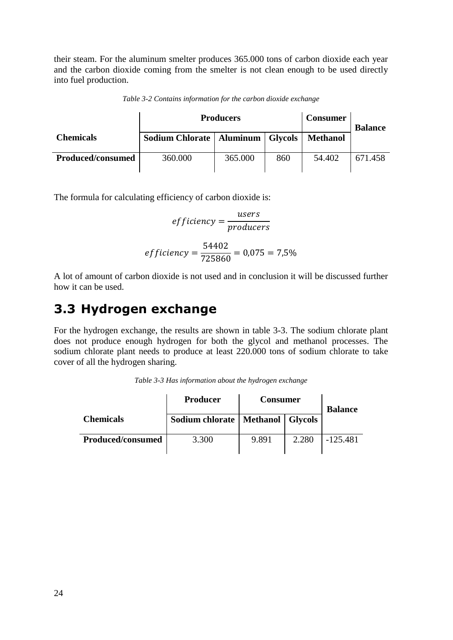their steam. For the aluminum smelter produces 365.000 tons of carbon dioxide each year and the carbon dioxide coming from the smelter is not clean enough to be used directly into fuel production.

*Table 3-2 Contains information for the carbon dioxide exchange*

|                          | <b>Producers</b>                     |         |     | <b>Consumer</b> | <b>Balance</b> |
|--------------------------|--------------------------------------|---------|-----|-----------------|----------------|
| <b>Chemicals</b>         | Sodium Chlorate   Aluminum   Glycols |         |     | <b>Methanol</b> |                |
| <b>Produced/consumed</b> | 360.000                              | 365.000 | 860 | 54.402          | 671.458        |

The formula for calculating efficiency of carbon dioxide is:

$$
efficiency = \frac{users}{products}
$$

$$
efficiency = \frac{54402}{725860} = 0,075 = 7,5\%
$$

A lot of amount of carbon dioxide is not used and in conclusion it will be discussed further how it can be used.

### **3.3 Hydrogen exchange**

For the hydrogen exchange, the results are shown in table 3-3. The sodium chlorate plant does not produce enough hydrogen for both the glycol and methanol processes. The sodium chlorate plant needs to produce at least 220.000 tons of sodium chlorate to take cover of all the hydrogen sharing.

*Table 3-3 Has information about the hydrogen exchange*

|                          | <b>Producer</b>                      | <b>Consumer</b> |       | <b>Balance</b> |  |
|--------------------------|--------------------------------------|-----------------|-------|----------------|--|
| <b>Chemicals</b>         | Sodium chlorate   Methanol   Glycols |                 |       |                |  |
| <b>Produced/consumed</b> | 3.300                                | 9.891           | 2.280 | $-125.481$     |  |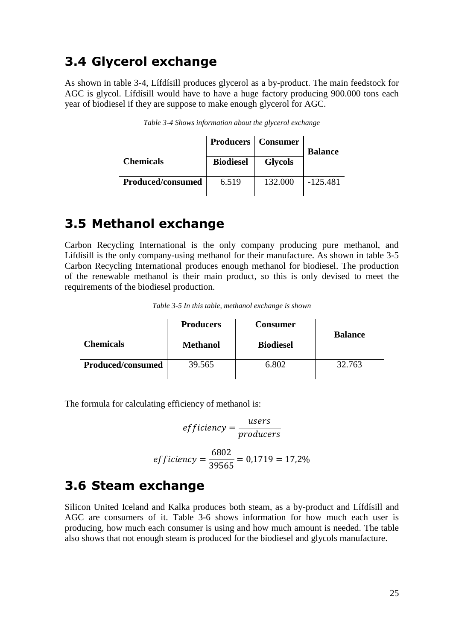#### **3.4 Glycerol exchange**

As shown in table 3-4, Lífdísill produces glycerol as a by-product. The main feedstock for AGC is glycol. Lífdísill would have to have a huge factory producing 900.000 tons each year of biodiesel if they are suppose to make enough glycerol for AGC.

| <b>Biodiesel</b> | <b>Glycols</b> | <b>Balance</b>              |
|------------------|----------------|-----------------------------|
| 6.519            | 132.000        | $-125.481$                  |
|                  |                | <b>Producers</b>   Consumer |

*Table 3-4 Shows information about the glycerol exchange*

#### **3.5 Methanol exchange**

Carbon Recycling International is the only company producing pure methanol, and Lífdísill is the only company-using methanol for their manufacture. As shown in table 3-5 Carbon Recycling International produces enough methanol for biodiesel. The production of the renewable methanol is their main product, so this is only devised to meet the requirements of the biodiesel production.

|                   | <b>Producers</b> | <b>Consumer</b>  | <b>Balance</b> |  |
|-------------------|------------------|------------------|----------------|--|
| <b>Chemicals</b>  | <b>Methanol</b>  | <b>Biodiesel</b> |                |  |
| Produced/consumed | 39.565           | 6.802            | 32.763         |  |

The formula for calculating efficiency of methanol is:

$$
efficiency = \frac{users}{products}
$$

$$
efficiency = \frac{6802}{39565} = 0,1719 = 17,2\%
$$

#### **3.6 Steam exchange**

Silicon United Iceland and Kalka produces both steam, as a by-product and Lífdísill and AGC are consumers of it. Table 3-6 shows information for how much each user is producing, how much each consumer is using and how much amount is needed. The table also shows that not enough steam is produced for the biodiesel and glycols manufacture.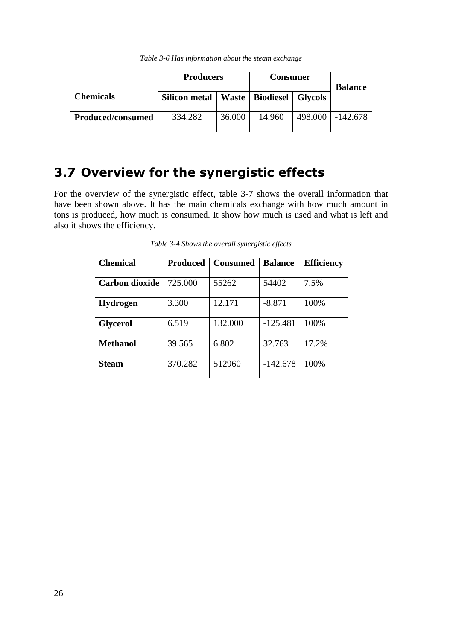|                   | <b>Producers</b>     |        | <b>Consumer</b>             |  | <b>Balance</b>     |
|-------------------|----------------------|--------|-----------------------------|--|--------------------|
| <b>Chemicals</b>  | <b>Silicon metal</b> |        | Waste   Biodiesel   Glycols |  |                    |
| Produced/consumed | 334.282              | 36.000 | 14.960                      |  | 498,000   -142,678 |

#### **3.7 Overview for the synergistic effects**

For the overview of the synergistic effect, table 3-7 shows the overall information that have been shown above. It has the main chemicals exchange with how much amount in tons is produced, how much is consumed. It show how much is used and what is left and also it shows the efficiency.

| <b>Chemical</b>       |         | <b>Produced   Consumed   Balance</b> |            | <b>Efficiency</b> |
|-----------------------|---------|--------------------------------------|------------|-------------------|
| <b>Carbon dioxide</b> | 725.000 | 55262                                | 54402      | 7.5%              |
| <b>Hydrogen</b>       | 3.300   | 12.171                               | $-8.871$   | 100%              |
| <b>Glycerol</b>       | 6.519   | 132.000                              | $-125.481$ | 100\%             |
| Methanol              | 39.565  | 6.802                                | 32.763     | 17.2%             |
| <b>Steam</b>          | 370.282 | 512960                               | $-142.678$ | 100\%             |

*Table 3-4 Shows the overall synergistic effects*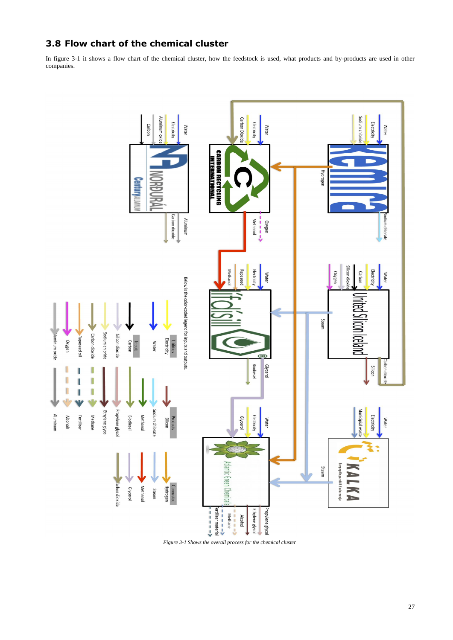### **3.8 Flow chart of the chemical cluster**

In figure 3-1 it shows a flow chart of the chemical cluster, how the feedstock is used, what products and by-products are used in other companies.





*Figure 3-1 Shows the overall process for the chemical cluster*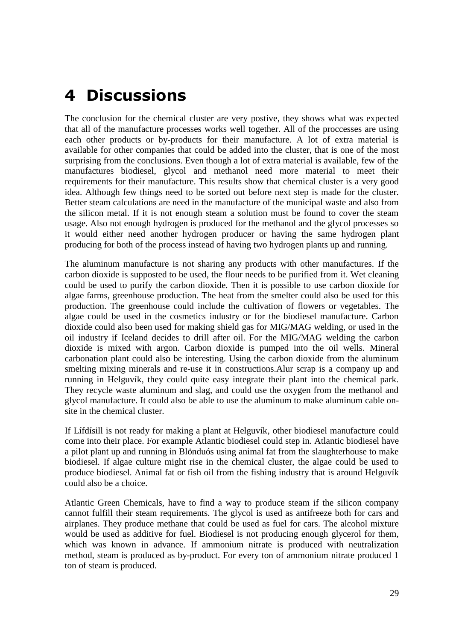## **4 Discussions**

The conclusion for the chemical cluster are very postive, they shows what was expected that all of the manufacture processes works well together. All of the proccesses are using each other products or by-products for their manufacture. A lot of extra material is available for other companies that could be added into the cluster, that is one of the most surprising from the conclusions. Even though a lot of extra material is available, few of the manufactures biodiesel, glycol and methanol need more material to meet their requirements for their manufacture. This results show that chemical cluster is a very good idea. Although few things need to be sorted out before next step is made for the cluster. Better steam calculations are need in the manufacture of the municipal waste and also from the silicon metal. If it is not enough steam a solution must be found to cover the steam usage. Also not enough hydrogen is produced for the methanol and the glycol processes so it would either need another hydrogen producer or having the same hydrogen plant producing for both of the process instead of having two hydrogen plants up and running.

The aluminum manufacture is not sharing any products with other manufactures. If the carbon dioxide is supposted to be used, the flour needs to be purified from it. Wet cleaning could be used to purify the carbon dioxide. Then it is possible to use carbon dioxide for algae farms, greenhouse production. The heat from the smelter could also be used for this production. The greenhouse could include the cultivation of flowers or vegetables. The algae could be used in the cosmetics industry or for the biodiesel manufacture. Carbon dioxide could also been used for making shield gas for MIG/MAG welding, or used in the oil industry if Iceland decides to drill after oil. For the MIG/MAG welding the carbon dioxide is mixed with argon. Carbon dioxide is pumped into the oil wells. Mineral carbonation plant could also be interesting. Using the carbon dioxide from the aluminum smelting mixing minerals and re-use it in constructions.Alur scrap is a company up and running in Helguvík, they could quite easy integrate their plant into the chemical park. They recycle waste aluminum and slag, and could use the oxygen from the methanol and glycol manufacture. It could also be able to use the aluminum to make aluminum cable onsite in the chemical cluster.

If Lífdísill is not ready for making a plant at Helguvík, other biodiesel manufacture could come into their place. For example Atlantic biodiesel could step in. Atlantic biodiesel have a pilot plant up and running in Blönduós using animal fat from the slaughterhouse to make biodiesel. If algae culture might rise in the chemical cluster, the algae could be used to produce biodiesel. Animal fat or fish oil from the fishing industry that is around Helguvík could also be a choice.

Atlantic Green Chemicals, have to find a way to produce steam if the silicon company cannot fulfill their steam requirements. The glycol is used as antifreeze both for cars and airplanes. They produce methane that could be used as fuel for cars. The alcohol mixture would be used as additive for fuel. Biodiesel is not producing enough glycerol for them, which was known in advance. If ammonium nitrate is produced with neutralization method, steam is produced as by-product. For every ton of ammonium nitrate produced 1 ton of steam is produced.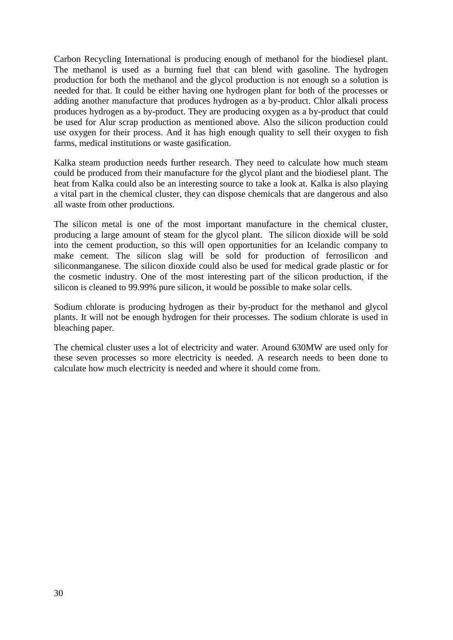Carbon Recycling International is producing enough of methanol for the biodiesel plant. The methanol is used as a burning fuel that can blend with gasoline. The hydrogen production for both the methanol and the glycol production is not enough so a solution is needed for that. It could be either having one hydrogen plant for both of the processes or adding another manufacture that produces hydrogen as a by-product. Chlor alkali process produces hydrogen as a by-product. They are producing oxygen as a by-product that could be used for Alur scrap production as mentioned above. Also the silicon production could use oxygen for their process. And it has high enough quality to sell their oxygen to fish farms, medical institutions or waste gasification.

Kalka steam production needs further research. They need to calculate how much steam could be produced from their manufacture for the glycol plant and the biodiesel plant. The heat from Kalka could also be an interesting source to take a look at. Kalka is also playing a vital part in the chemical cluster, they can dispose chemicals that are dangerous and also all waste from other productions.

The silicon metal is one of the most important manufacture in the chemical cluster, producing a large amount of steam for the glycol plant. The silicon dioxide will be sold into the cement production, so this will open opportunities for an Icelandic company to make cement. The silicon slag will be sold for production of ferrosilicon and siliconmanganese. The silicon dioxide could also be used for medical grade plastic or for the cosmetic industry. One of the most interesting part of the silicon production, if the silicon is cleaned to 99.99% pure silicon, it would be possible to make solar cells.

Sodium chlorate is producing hydrogen as their by-product for the methanol and glycol plants. It will not be enough hydrogen for their processes. The sodium chlorate is used in bleaching paper.

The chemical cluster uses a lot of electricity and water. Around 630MW are used only for these seven processes so more electricity is needed. A research needs to been done to calculate how much electricity is needed and where it should come from.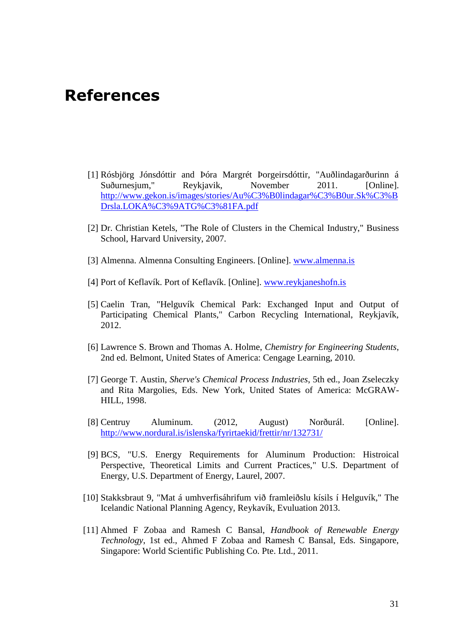### **References**

- [1] Rósbjörg Jónsdóttir and Þóra Margrét Þorgeirsdóttir, "Auðlindagarðurinn á Suðurnesjum," Reykjavik, November 2011. [Online]. [http://www.gekon.is/images/stories/Au%C3%B0lindagar%C3%B0ur.Sk%C3%B](http://www.gekon.is/images/stories/Au%C3%B0lindagar%C3%B0ur.Sk%C3%BDrsla.LOKA%C3%9ATG%C3%81FA.pdf) [Drsla.LOKA%C3%9ATG%C3%81FA.pdf](http://www.gekon.is/images/stories/Au%C3%B0lindagar%C3%B0ur.Sk%C3%BDrsla.LOKA%C3%9ATG%C3%81FA.pdf)
- [2] Dr. Christian Ketels, "The Role of Clusters in the Chemical Industry," Business School, Harvard University, 2007.
- [3] Almenna. Almenna Consulting Engineers. [Online]. [www.almenna.is](file:///C:/Users/andri.CRINT/AppData/Local/Microsoft/Windows/Temporary%20Internet%20Files/Content.Outlook/2A2X2BX3/www.almenna.is)
- [4] Port of Keflavík. Port of Keflavík. [Online]. [www.reykjaneshofn.is](file:///C:/Users/andri.CRINT/AppData/Local/Microsoft/Windows/Temporary%20Internet%20Files/Content.Outlook/2A2X2BX3/www.reykjaneshofn.is)
- [5] Caelin Tran, "Helguvík Chemical Park: Exchanged Input and Output of Participating Chemical Plants," Carbon Recycling International, Reykjavík, 2012.
- [6] Lawrence S. Brown and Thomas A. Holme, *Chemistry for Engineering Students*, 2nd ed. Belmont, United States of America: Cengage Learning, 2010.
- [7] George T. Austin, *Sherve's Chemical Process Industries*, 5th ed., Joan Zseleczky and Rita Margolies, Eds. New York, United States of America: McGRAW-HILL, 1998.
- [8] Centruy Aluminum. (2012, August) Norðurál. [Online]. <http://www.nordural.is/islenska/fyrirtaekid/frettir/nr/132731/>
- [9] BCS, "U.S. Energy Requirements for Aluminum Production: Histroical Perspective, Theoretical Limits and Current Practices," U.S. Department of Energy, U.S. Department of Energy, Laurel, 2007.
- [10] Stakksbraut 9, "Mat á umhverfisáhrifum við framleiðslu kísils í Helguvík," The Icelandic National Planning Agency, Reykavík, Evuluation 2013.
- [11] Ahmed F Zobaa and Ramesh C Bansal, *Handbook of Renewable Energy Technology*, 1st ed., Ahmed F Zobaa and Ramesh C Bansal, Eds. Singapore, Singapore: World Scientific Publishing Co. Pte. Ltd., 2011.